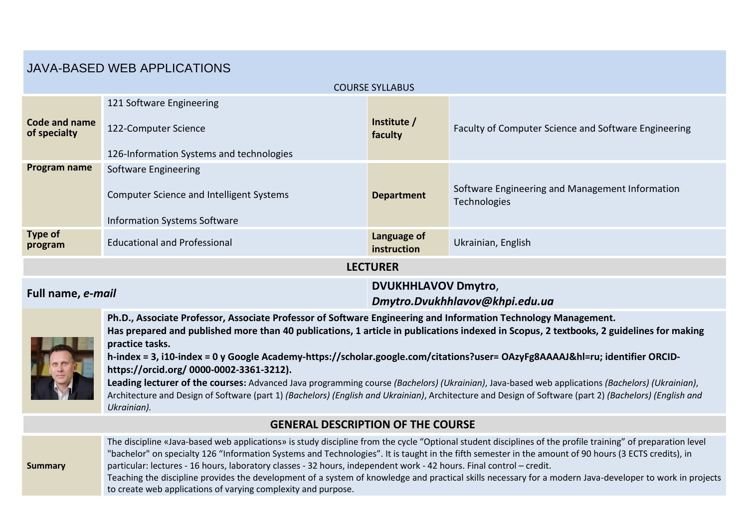# JAVA-BASED WEB APPLICATIONS

| <b>COURSE SYLLABUS</b>        |                                          |                                                              |                                                                 |  |  |  |  |  |
|-------------------------------|------------------------------------------|--------------------------------------------------------------|-----------------------------------------------------------------|--|--|--|--|--|
|                               | 121 Software Engineering                 |                                                              |                                                                 |  |  |  |  |  |
| Code and name<br>of specialty | 122-Computer Science                     | Institute /<br>faculty                                       | Faculty of Computer Science and Software Engineering            |  |  |  |  |  |
|                               | 126-Information Systems and technologies |                                                              |                                                                 |  |  |  |  |  |
| Program name                  | Software Engineering                     |                                                              |                                                                 |  |  |  |  |  |
|                               | Computer Science and Intelligent Systems | <b>Department</b>                                            | Software Engineering and Management Information<br>Technologies |  |  |  |  |  |
|                               | <b>Information Systems Software</b>      |                                                              |                                                                 |  |  |  |  |  |
| Type of<br>program            | <b>Educational and Professional</b>      | Language of<br>instruction                                   | Ukrainian, English                                              |  |  |  |  |  |
| <b>LECTURER</b>               |                                          |                                                              |                                                                 |  |  |  |  |  |
| Full name, e-mail             |                                          | <b>DVUKHHLAVOV Dmytro,</b><br>Dmytro.Dvukhhlavov@khpi.edu.ua |                                                                 |  |  |  |  |  |

**Ph.D., Associate Professor, Associate Professor of Software Engineering and Information Technology Management.**

**Has prepared and published more than 40 publications, 1 article in publications indexed in Scopus, 2 textbooks, 2 guidelines for making practice tasks.**



**Leading lecturer of the courses:** Advanced Java programming course *(Bachelors) (Ukrainian)*, Java-based web applications *(Bachelors) (Ukrainian)*, Architecture and Design of Software (part 1) *(Bachelors) (English and Ukrainian)*, Architecture and Design of Software (part 2) *(Bachelors) (English and Ukrainian).*

### **GENERAL DESCRIPTION OF THE COURSE**



The discipline «Java-based web applications» is study discipline from the cycle "Optional student disciplines of the profile training" of preparation level "bachelor" on specialty 126 "Information Systems and Technologies". It is taught in the fifth semester in the amount of 90 hours (3 ECTS credits), in particular: lectures - 16 hours, laboratory classes - 32 hours, independent work - 42 hours. Final control – credit. Teaching the discipline provides the development of a system of knowledge and practical skills necessary for a modern Java-developer to work in projects to create web applications of varying complexity and purpose.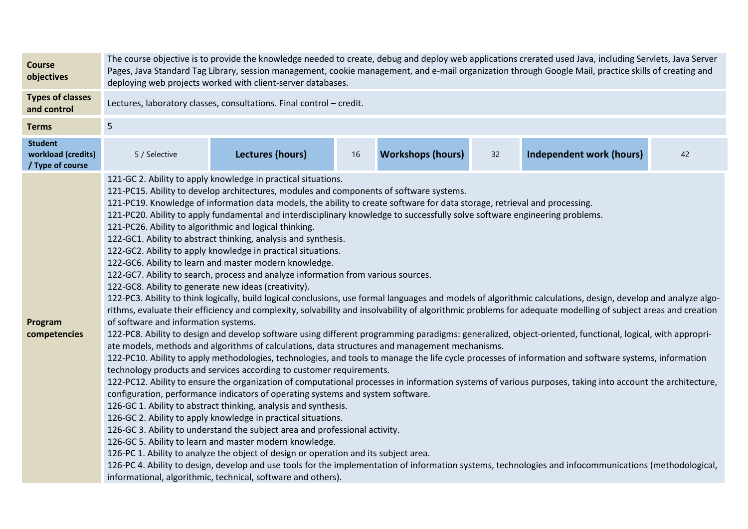| <b>Course</b><br>objectives                              | The course objective is to provide the knowledge needed to create, debug and deploy web applications crerated used Java, including Servlets, Java Server<br>Pages, Java Standard Tag Library, session management, cookie management, and e-mail organization through Google Mail, practice skills of creating and<br>deploying web projects worked with client-server databases.                                                                                                                                                                                                                                                                                                                                                                                                                                                                                                                                                                                                                                                                                                                                                                                                                                                                                                                                                                                                                                                                                                                                                                                                                                                                                                                                                                                                                                                                                                                                                                                                                                                                                                                                                                                                                                                                                                                                                                                                                                                                                                                                                                  |                         |      |                          |    |                                 |    |  |
|----------------------------------------------------------|---------------------------------------------------------------------------------------------------------------------------------------------------------------------------------------------------------------------------------------------------------------------------------------------------------------------------------------------------------------------------------------------------------------------------------------------------------------------------------------------------------------------------------------------------------------------------------------------------------------------------------------------------------------------------------------------------------------------------------------------------------------------------------------------------------------------------------------------------------------------------------------------------------------------------------------------------------------------------------------------------------------------------------------------------------------------------------------------------------------------------------------------------------------------------------------------------------------------------------------------------------------------------------------------------------------------------------------------------------------------------------------------------------------------------------------------------------------------------------------------------------------------------------------------------------------------------------------------------------------------------------------------------------------------------------------------------------------------------------------------------------------------------------------------------------------------------------------------------------------------------------------------------------------------------------------------------------------------------------------------------------------------------------------------------------------------------------------------------------------------------------------------------------------------------------------------------------------------------------------------------------------------------------------------------------------------------------------------------------------------------------------------------------------------------------------------------------------------------------------------------------------------------------------------------|-------------------------|------|--------------------------|----|---------------------------------|----|--|
| <b>Types of classes</b><br>and control                   | Lectures, laboratory classes, consultations. Final control - credit.                                                                                                                                                                                                                                                                                                                                                                                                                                                                                                                                                                                                                                                                                                                                                                                                                                                                                                                                                                                                                                                                                                                                                                                                                                                                                                                                                                                                                                                                                                                                                                                                                                                                                                                                                                                                                                                                                                                                                                                                                                                                                                                                                                                                                                                                                                                                                                                                                                                                              |                         |      |                          |    |                                 |    |  |
| <b>Terms</b>                                             | 5                                                                                                                                                                                                                                                                                                                                                                                                                                                                                                                                                                                                                                                                                                                                                                                                                                                                                                                                                                                                                                                                                                                                                                                                                                                                                                                                                                                                                                                                                                                                                                                                                                                                                                                                                                                                                                                                                                                                                                                                                                                                                                                                                                                                                                                                                                                                                                                                                                                                                                                                                 |                         |      |                          |    |                                 |    |  |
| <b>Student</b><br>workload (credits)<br>/ Type of course | 5 / Selective                                                                                                                                                                                                                                                                                                                                                                                                                                                                                                                                                                                                                                                                                                                                                                                                                                                                                                                                                                                                                                                                                                                                                                                                                                                                                                                                                                                                                                                                                                                                                                                                                                                                                                                                                                                                                                                                                                                                                                                                                                                                                                                                                                                                                                                                                                                                                                                                                                                                                                                                     | <b>Lectures (hours)</b> | $16$ | <b>Workshops (hours)</b> | 32 | <b>Independent work (hours)</b> | 42 |  |
| Program<br>competencies                                  | 121-GC 2. Ability to apply knowledge in practical situations.<br>121-PC15. Ability to develop architectures, modules and components of software systems.<br>121-PC19. Knowledge of information data models, the ability to create software for data storage, retrieval and processing.<br>121-PC20. Ability to apply fundamental and interdisciplinary knowledge to successfully solve software engineering problems.<br>121-PC26. Ability to algorithmic and logical thinking.<br>122-GC1. Ability to abstract thinking, analysis and synthesis.<br>122-GC2. Ability to apply knowledge in practical situations.<br>122-GC6. Ability to learn and master modern knowledge.<br>122-GC7. Ability to search, process and analyze information from various sources.<br>122-GC8. Ability to generate new ideas (creativity).<br>122-PC3. Ability to think logically, build logical conclusions, use formal languages and models of algorithmic calculations, design, develop and analyze algo-<br>rithms, evaluate their efficiency and complexity, solvability and insolvability of algorithmic problems for adequate modelling of subject areas and creation<br>of software and information systems.<br>122-PC8. Ability to design and develop software using different programming paradigms: generalized, object-oriented, functional, logical, with appropri-<br>ate models, methods and algorithms of calculations, data structures and management mechanisms.<br>122-PC10. Ability to apply methodologies, technologies, and tools to manage the life cycle processes of information and software systems, information<br>technology products and services according to customer requirements.<br>122-PC12. Ability to ensure the organization of computational processes in information systems of various purposes, taking into account the architecture,<br>configuration, performance indicators of operating systems and system software.<br>126-GC 1. Ability to abstract thinking, analysis and synthesis.<br>126-GC 2. Ability to apply knowledge in practical situations.<br>126-GC 3. Ability to understand the subject area and professional activity.<br>126-GC 5. Ability to learn and master modern knowledge.<br>126-PC 1. Ability to analyze the object of design or operation and its subject area.<br>126-PC 4. Ability to design, develop and use tools for the implementation of information systems, technologies and infocommunications (methodological,<br>informational, algorithmic, technical, software and others). |                         |      |                          |    |                                 |    |  |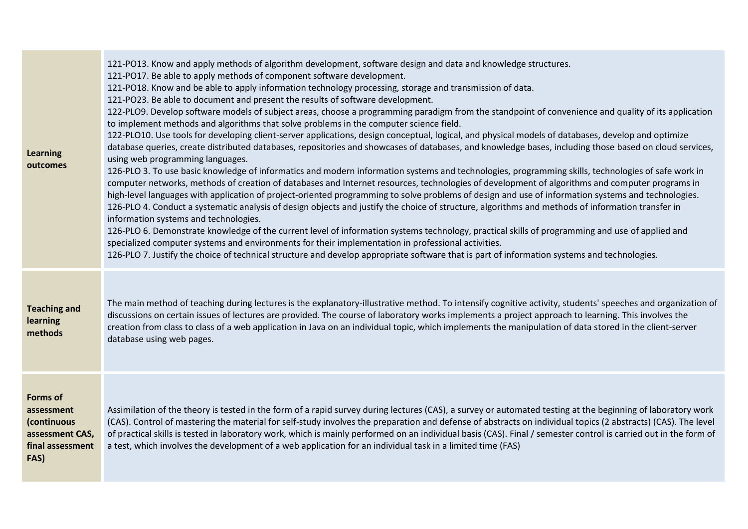| <b>Learning</b><br>outcomes                                                                 | 121-PO13. Know and apply methods of algorithm development, software design and data and knowledge structures.<br>121-PO17. Be able to apply methods of component software development.<br>121-PO18. Know and be able to apply information technology processing, storage and transmission of data.<br>121-PO23. Be able to document and present the results of software development.<br>122-PLO9. Develop software models of subject areas, choose a programming paradigm from the standpoint of convenience and quality of its application<br>to implement methods and algorithms that solve problems in the computer science field.<br>122-PLO10. Use tools for developing client-server applications, design conceptual, logical, and physical models of databases, develop and optimize<br>database queries, create distributed databases, repositories and showcases of databases, and knowledge bases, including those based on cloud services,<br>using web programming languages.<br>126-PLO 3. To use basic knowledge of informatics and modern information systems and technologies, programming skills, technologies of safe work in<br>computer networks, methods of creation of databases and Internet resources, technologies of development of algorithms and computer programs in<br>high-level languages with application of project-oriented programming to solve problems of design and use of information systems and technologies.<br>126-PLO 4. Conduct a systematic analysis of design objects and justify the choice of structure, algorithms and methods of information transfer in<br>information systems and technologies.<br>126-PLO 6. Demonstrate knowledge of the current level of information systems technology, practical skills of programming and use of applied and<br>specialized computer systems and environments for their implementation in professional activities.<br>126-PLO 7. Justify the choice of technical structure and develop appropriate software that is part of information systems and technologies. |
|---------------------------------------------------------------------------------------------|---------------------------------------------------------------------------------------------------------------------------------------------------------------------------------------------------------------------------------------------------------------------------------------------------------------------------------------------------------------------------------------------------------------------------------------------------------------------------------------------------------------------------------------------------------------------------------------------------------------------------------------------------------------------------------------------------------------------------------------------------------------------------------------------------------------------------------------------------------------------------------------------------------------------------------------------------------------------------------------------------------------------------------------------------------------------------------------------------------------------------------------------------------------------------------------------------------------------------------------------------------------------------------------------------------------------------------------------------------------------------------------------------------------------------------------------------------------------------------------------------------------------------------------------------------------------------------------------------------------------------------------------------------------------------------------------------------------------------------------------------------------------------------------------------------------------------------------------------------------------------------------------------------------------------------------------------------------------------------------------------------------------------------------------------------------|
| <b>Teaching and</b><br>learning<br>methods                                                  | The main method of teaching during lectures is the explanatory-illustrative method. To intensify cognitive activity, students' speeches and organization of<br>discussions on certain issues of lectures are provided. The course of laboratory works implements a project approach to learning. This involves the<br>creation from class to class of a web application in Java on an individual topic, which implements the manipulation of data stored in the client-server<br>database using web pages.                                                                                                                                                                                                                                                                                                                                                                                                                                                                                                                                                                                                                                                                                                                                                                                                                                                                                                                                                                                                                                                                                                                                                                                                                                                                                                                                                                                                                                                                                                                                                    |
| <b>Forms of</b><br>assessment<br>(continuous<br>assessment CAS,<br>final assessment<br>FAS) | Assimilation of the theory is tested in the form of a rapid survey during lectures (CAS), a survey or automated testing at the beginning of laboratory work<br>(CAS). Control of mastering the material for self-study involves the preparation and defense of abstracts on individual topics (2 abstracts) (CAS). The level<br>of practical skills is tested in laboratory work, which is mainly performed on an individual basis (CAS). Final / semester control is carried out in the form of<br>a test, which involves the development of a web application for an individual task in a limited time (FAS)                                                                                                                                                                                                                                                                                                                                                                                                                                                                                                                                                                                                                                                                                                                                                                                                                                                                                                                                                                                                                                                                                                                                                                                                                                                                                                                                                                                                                                                |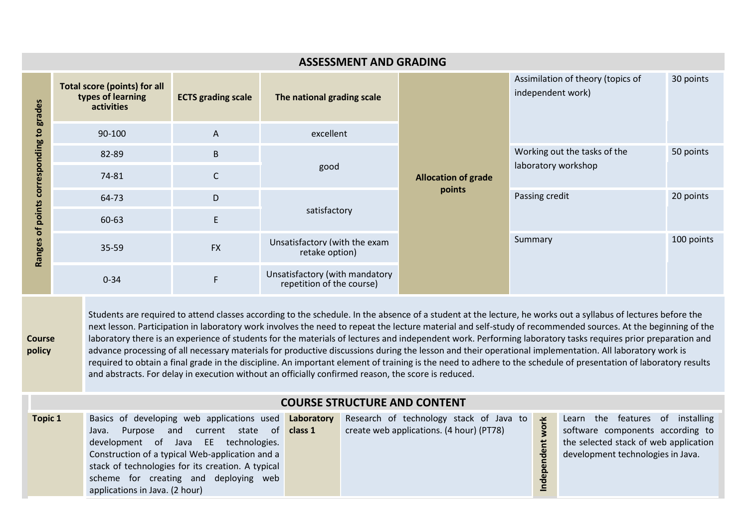| <b>ASSESSMENT AND GRADING</b>                  |                                                                        |                           |                                                             |                                      |                                                        |                         |  |  |  |
|------------------------------------------------|------------------------------------------------------------------------|---------------------------|-------------------------------------------------------------|--------------------------------------|--------------------------------------------------------|-------------------------|--|--|--|
| to grades<br>of points corresponding<br>Ranges | <b>Total score (points) for all</b><br>types of learning<br>activities | <b>ECTS grading scale</b> | The national grading scale                                  |                                      | Assimilation of theory (topics of<br>independent work) | 30 points               |  |  |  |
|                                                | 90-100                                                                 | $\mathsf{A}$              | excellent                                                   |                                      |                                                        |                         |  |  |  |
|                                                | 82-89                                                                  | $\sf B$                   |                                                             | <b>Allocation of grade</b><br>points | Working out the tasks of the                           | 50 points               |  |  |  |
|                                                | 74-81                                                                  | $\mathsf{C}$              | good                                                        |                                      | laboratory workshop                                    |                         |  |  |  |
|                                                | 64-73                                                                  | D                         |                                                             |                                      | Passing credit                                         | 20 points<br>100 points |  |  |  |
|                                                | 60-63                                                                  | E                         | satisfactory                                                |                                      |                                                        |                         |  |  |  |
|                                                | 35-59                                                                  | <b>FX</b>                 | Unsatisfactory (with the exam<br>retake option)             |                                      | Summary                                                |                         |  |  |  |
|                                                | $0 - 34$                                                               |                           | Unsatisfactory (with mandatory<br>repetition of the course) |                                      |                                                        |                         |  |  |  |

Students are required to attend classes according to the schedule. In the absence of a student at the lecture, he works out a syllabus of lectures before the next lesson. Participation in laboratory work involves the need to repeat the lecture material and self-study of recommended sources. At the beginning of the laboratory there is an experience of students for the materials of lectures and independent work. Performing laboratory tasks requires prior preparation and advance processing of all necessary materials for productive discussions during the lesson and their operational implementation. All laboratory work is required to obtain a final grade in the discipline. An important element of training is the need to adhere to the schedule of presentation of laboratory results and abstracts. For delay in execution without an officially confirmed reason, the score is reduced.

### **COURSE STRUCTURE AND CONTENT**

**Course policy**

| <b>Topic 1</b> | Basics of developing web applications used <b>Laboratory</b><br>state<br>and<br>current<br>Purpose<br>Java.<br>EE technologies.<br>development of Java<br>Construction of a typical Web-application and a<br>stack of technologies for its creation. A typical<br>scheme for creating and deploying web<br>applications in Java. (2 hour) | of class 1 | Research of technology stack of Java to<br>create web applications. (4 hour) (PT78) | $\rightarrow$ | Learn the features of installing<br>software components according to<br>the selected stack of web application<br>development technologies in Java. |
|----------------|-------------------------------------------------------------------------------------------------------------------------------------------------------------------------------------------------------------------------------------------------------------------------------------------------------------------------------------------|------------|-------------------------------------------------------------------------------------|---------------|----------------------------------------------------------------------------------------------------------------------------------------------------|
|----------------|-------------------------------------------------------------------------------------------------------------------------------------------------------------------------------------------------------------------------------------------------------------------------------------------------------------------------------------------|------------|-------------------------------------------------------------------------------------|---------------|----------------------------------------------------------------------------------------------------------------------------------------------------|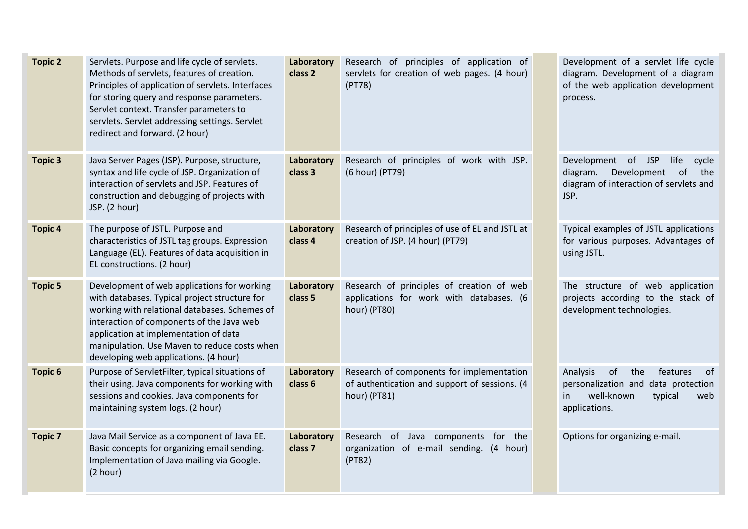| <b>Topic 2</b> | Servlets. Purpose and life cycle of servlets.<br>Methods of servlets, features of creation.<br>Principles of application of servlets. Interfaces<br>for storing query and response parameters.<br>Servlet context. Transfer parameters to<br>servlets. Servlet addressing settings. Servlet<br>redirect and forward. (2 hour) | Laboratory<br>class 2 | Research of principles of application of<br>servlets for creation of web pages. (4 hour)<br>(PT78)         | Development of a servlet life cycle<br>diagram. Development of a diagram<br>of the web application development<br>process.            |
|----------------|-------------------------------------------------------------------------------------------------------------------------------------------------------------------------------------------------------------------------------------------------------------------------------------------------------------------------------|-----------------------|------------------------------------------------------------------------------------------------------------|---------------------------------------------------------------------------------------------------------------------------------------|
| <b>Topic 3</b> | Java Server Pages (JSP). Purpose, structure,<br>syntax and life cycle of JSP. Organization of<br>interaction of servlets and JSP. Features of<br>construction and debugging of projects with<br>JSP. (2 hour)                                                                                                                 | Laboratory<br>class 3 | Research of principles of work with JSP.<br>(6 hour) (PT79)                                                | Development of JSP<br>life<br>cycle<br>diagram.<br>Development<br>of<br>the<br>diagram of interaction of servlets and<br>JSP.         |
| <b>Topic 4</b> | The purpose of JSTL. Purpose and<br>characteristics of JSTL tag groups. Expression<br>Language (EL). Features of data acquisition in<br>EL constructions. (2 hour)                                                                                                                                                            | Laboratory<br>class 4 | Research of principles of use of EL and JSTL at<br>creation of JSP. (4 hour) (PT79)                        | Typical examples of JSTL applications<br>for various purposes. Advantages of<br>using JSTL.                                           |
| <b>Topic 5</b> | Development of web applications for working<br>with databases. Typical project structure for<br>working with relational databases. Schemes of<br>interaction of components of the Java web<br>application at implementation of data<br>manipulation. Use Maven to reduce costs when<br>developing web applications. (4 hour)  | Laboratory<br>class 5 | Research of principles of creation of web<br>applications for work with databases. (6<br>hour) (PT80)      | The structure of web application<br>projects according to the stack of<br>development technologies.                                   |
| <b>Topic 6</b> | Purpose of ServletFilter, typical situations of<br>their using. Java components for working with<br>sessions and cookies. Java components for<br>maintaining system logs. (2 hour)                                                                                                                                            | Laboratory<br>class 6 | Research of components for implementation<br>of authentication and support of sessions. (4<br>hour) (PT81) | Analysis<br>of<br>the<br>features<br>0f<br>personalization and data protection<br>well-known<br>typical<br>web<br>in<br>applications. |
| <b>Topic 7</b> | Java Mail Service as a component of Java EE.<br>Basic concepts for organizing email sending.<br>Implementation of Java mailing via Google.<br>(2 hour)                                                                                                                                                                        | Laboratory<br>class 7 | Research of Java components<br>for<br>the<br>organization of e-mail sending.<br>(4 hour)<br>(PT82)         | Options for organizing e-mail.                                                                                                        |